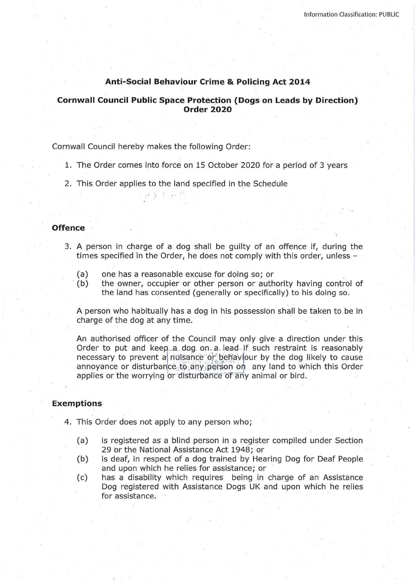# **Anti-Social Behaviour Crime & Policing Act 2014**

# **Cornwall Council Public Space Protection (Dogs on Leads by Direction) Order 2020**

Cornwall Council hereby makes the following Order:

- 1. The Order comes into force on 15 October 2020 for a period of 3 years
- 2. This Order applies to the land specified in the Schedule

認言を行い

## **Offence**

- 3. A person in charge of a dog shall be guilty of an offence if, during the times specified in the Order, he does not comply with this order, unless -
	- (a) one has a reasonable excuse for doing so; or .
	- (b) the owner, occupier or other person or authority having control of the land has consented (generally or specifically) to his doing so.

A person who habitually has a dog in his possession shall be taken to be in charge of the dog at any time.

An authorised officer of the Council may only give a direction under this. Order to put and keep a dog on a lead if such restraint is reasonably necessary to prevent a nuisance or behaviour by the dog likely to cause annoyance or disturbance to any person on any land to which this Order applies or the worrying or disturbance of any animal or bird.

## **Exemptions**

- 4. This Order does not apply to any person who;
	- (a) is registered as a blind person in a register compiled under Section 29 or the National Assistance Act 1948; or
	- (b) is deaf, in respect of a dog trained by Hearing Dog for Deaf People and upon which he relies for assistance; or
	- (c) has a disability which requires being in charge of an Assistance Dog registered with Assistance Dogs UK and upon which he relies for assistance.